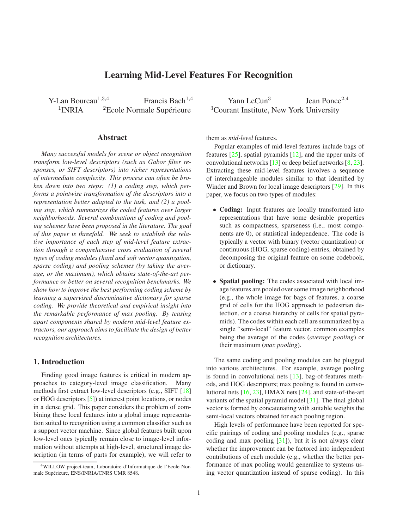# **Learning Mid-Level Features For Recognition**

<span id="page-0-0"></span>Y-Lan Boureau<sup>1,3,4</sup> Francis Bach<sup>1,4</sup> Yann LeCun<sup>3</sup>  $1$ INRIA

#### **Abstract**

*Many successful models for scene or object recognition transform low-level descriptors (such as Gabor filter responses, or SIFT descriptors) into richer representations of intermediate complexity. This process can often be broken down into two steps: (1) a coding step, which performs a pointwise transformation of the descriptors into a representation better adapted to the task, and (2) a pooling step, which summarizes the coded features over larger neighborhoods. Several combinations of coding and pooling schemes have been proposed in the literature. The goal of this paper is threefold. We seek to establish the relative importance of each step of mid-level feature extraction through a comprehensive cross evaluation of several types of coding modules (hard and soft vector quantization, sparse coding) and pooling schemes (by taking the average, or the maximum), which obtains state-of-the-art performance or better on several recognition benchmarks. We show how to improve the best performing coding scheme by learning a supervised discriminative dictionary for sparse coding. We provide theoretical and empirical insight into the remarkable performance of max pooling. By teasing apart components shared by modern mid-level feature extractors, our approach aims to facilitate the design of better recognition architectures.*

### **1. Introduction**

Finding good image features is critical in modern approaches to category-level image classification. Many methods first extract low-level descriptors (e.g., SIFT [\[18\]](#page-7-0) or HOG descriptors [\[5\]](#page-7-1)) at interest point locations, or nodes in a dense grid. This paper considers the problem of combining these local features into a global image representation suited to recognition using a common classifier such as a support vector machine. Since global features built upon low-level ones typically remain close to image-level information without attempts at high-level, structured image description (in terms of parts for example), we will refer to

Jean Ponce<sup>2</sup>,<sup>4</sup>  ${}^{2}$ Ecole Normale Supérieure  ${}^{3}$ Courant Institute, New York University

them as *mid-level* features.

Popular examples of mid-level features include bags of features [\[25\]](#page-7-2), spatial pyramids [\[12\]](#page-7-3), and the upper units of convolutional networks [\[13\]](#page-7-4) or deep belief networks [\[8,](#page-7-5) [23\]](#page-7-6). Extracting these mid-level features involves a sequence of interchangeable modules similar to that identified by Winder and Brown for local image descriptors [\[29\]](#page-7-7). In this paper, we focus on two types of modules:

- **Coding:** Input features are locally transformed into representations that have some desirable properties such as compactness, sparseness (i.e., most components are 0), or statistical independence. The code is typically a vector with binary (vector quantization) or continuous (HOG, sparse coding) entries, obtained by decomposing the original feature on some codebook, or dictionary.
- **Spatial pooling:** The codes associated with local image features are pooled over some image neighborhood (e.g., the whole image for bags of features, a coarse grid of cells for the HOG approach to pedestrian detection, or a coarse hierarchy of cells for spatial pyramids). The codes within each cell are summarized by a single "semi-local" feature vector, common examples being the average of the codes (*average pooling*) or their maximum (*max pooling*).

The same coding and pooling modules can be plugged into various architectures. For example, average pooling is found in convolutional nets [\[13\]](#page-7-4), bag-of-features methods, and HOG descriptors; max pooling is found in convolutional nets [\[16,](#page-7-8) [23\]](#page-7-6), HMAX nets [\[24\]](#page-7-9), and state-of-the-art variants of the spatial pyramid model [\[31\]](#page-7-10). The final global vector is formed by concatenating with suitable weights the semi-local vectors obtained for each pooling region.

High levels of performance have been reported for specific pairings of coding and pooling modules (e.g., sparse coding and max pooling  $[31]$ ), but it is not always clear whether the improvement can be factored into independent contributions of each module (e.g., whether the better performance of max pooling would generalize to systems using vector quantization instead of sparse coding). In this

<sup>4</sup>WILLOW project-team, Laboratoire d'Informatique de l'Ecole Normale Supérieure, ENS/INRIA/CNRS UMR 8548.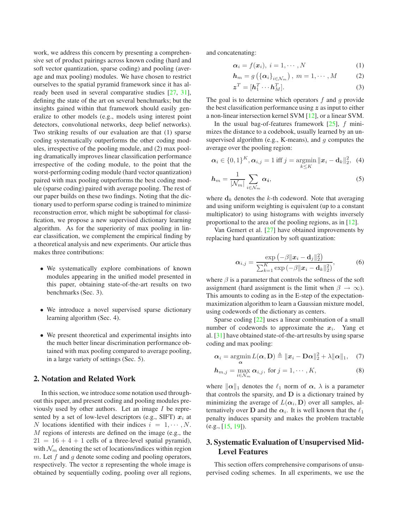<span id="page-1-2"></span>work, we address this concern by presenting a comprehensive set of product pairings across known coding (hard and soft vector quantization, sparse coding) and pooling (average and max pooling) modules. We have chosen to restrict ourselves to the spatial pyramid framework since it has already been used in several comparative studies [\[27,](#page-7-11) [31\]](#page-7-10), defining the state of the art on several benchmarks; but the insights gained within that framework should easily generalize to other models (e.g., models using interest point detectors, convolutional networks, deep belief networks). Two striking results of our evaluation are that (1) sparse coding systematically outperforms the other coding modules, irrespective of the pooling module, and (2) max pooling dramatically improves linear classification performance irrespective of the coding module, to the point that the worst-performing coding module (hard vector quantization) paired with max pooling outperforms the best coding module (sparse coding) paired with average pooling. The rest of our paper builds on these two findings. Noting that the dictionary used to perform sparse coding is trained to minimize reconstruction error, which might be suboptimal for classification, we propose a new supervised dictionary learning algorithm. As for the superiority of max pooling in linear classification, we complement the empirical finding by a theoretical analysis and new experiments. Our article thus makes three contributions:

- We systematically explore combinations of known modules appearing in the unified model presented in this paper, obtaining state-of-the-art results on two benchmarks (Sec. 3).
- We introduce a novel supervised sparse dictionary learning algorithm (Sec. 4).
- We present theoretical and experimental insights into the much better linear discrimination performance obtained with max pooling compared to average pooling, in a large variety of settings (Sec. 5).

# <span id="page-1-0"></span>**2. Notation and Related Work**

In this section, we introduce some notation used throughout this paper, and present coding and pooling modules previously used by other authors. Let an image I be represented by a set of low-level descriptors (e.g., SIFT)  $x_i$  at N locations identified with their indices  $i = 1, \dots, N$ . M regions of interests are defined on the image (e.g., the  $21 = 16 + 4 + 1$  cells of a three-level spatial pyramid), with  $\mathcal{N}_m$  denoting the set of locations/indices within region  $m$ . Let  $f$  and  $g$  denote some coding and pooling operators, respectively. The vector  $z$  representing the whole image is obtained by sequentially coding, pooling over all regions, and concatenating:

<span id="page-1-1"></span>
$$
\alpha_i = f(\boldsymbol{x}_i), \ i = 1, \cdots, N \tag{1}
$$

$$
\boldsymbol{h}_m = g\left(\left\{\boldsymbol{\alpha}_i\right\}_{i\in\mathcal{N}_m}\right),\; m = 1,\cdots,M \qquad (2)
$$

$$
\boldsymbol{z}^T = [\boldsymbol{h}_1^T \cdots \boldsymbol{h}_M^T]. \tag{3}
$$

The goal is to determine which operators  $f$  and  $g$  provide the best classification performance using  $z$  as input to either a non-linear intersection kernel SVM [\[12\]](#page-7-3), or a linear SVM.

In the usual bag-of-features framework  $[25]$ , f minimizes the distance to a codebook, usually learned by an unsupervised algorithm (e.g., K-means), and  $g$  computes the average over the pooling region:

$$
\boldsymbol{\alpha}_i \in \{0,1\}^K, \boldsymbol{\alpha}_{i,j} = 1 \text{ iff } j = \operatorname*{argmin}_{k \leq K} \|\boldsymbol{x}_i - \boldsymbol{\mathrm{d}}_k\|_2^2, \tag{4}
$$

$$
h_m = \frac{1}{|\mathcal{N}_m|} \sum_{i \in \mathcal{N}_m} \alpha_i,\tag{5}
$$

where  $\mathbf{d}_k$  denotes the k-th codeword. Note that averaging and using uniform weighting is equivalent (up to a constant multiplicator) to using histograms with weights inversely proportional to the area of the pooling regions, as in [\[12\]](#page-7-3).

Van Gemert et al. [\[27\]](#page-7-11) have obtained improvements by replacing hard quantization by soft quantization:

$$
\alpha_{i,j} = \frac{\exp(-\beta \|x_i - \mathbf{d}_j\|_2^2)}{\sum_{k=1}^K \exp(-\beta \|x_i - \mathbf{d}_k\|_2^2)},
$$
(6)

where  $\beta$  is a parameter that controls the softness of the soft assignment (hard assignment is the limit when  $\beta \to \infty$ ). This amounts to coding as in the E-step of the expectationmaximization algorithm to learn a Gaussian mixture model, using codewords of the dictionary as centers.

Sparse coding [\[22\]](#page-7-12) uses a linear combination of a small number of codewords to approximate the  $x_i$ . Yang et al. [\[31\]](#page-7-10) have obtained state-of-the-art results by using sparse coding and max pooling:

$$
\boldsymbol{\alpha}_i = \operatorname*{argmin}_{\mathbf{\alpha}} L(\mathbf{\alpha}, \mathbf{D}) \triangleq ||\mathbf{x}_i - \mathbf{D}\mathbf{\alpha}||_2^2 + \lambda ||\mathbf{\alpha}||_1, \quad (7)
$$

$$
h_{m,j} = \max_{i \in \mathcal{N}_m} \alpha_{i,j}, \text{ for } j = 1, \cdots, K,
$$
 (8)

where  $\|\alpha\|_1$  denotes the  $\ell_1$  norm of  $\alpha$ ,  $\lambda$  is a parameter that controls the sparsity, and  **is a dictionary trained by** minimizing the average of  $L(\alpha_i, \mathbf{D})$  over all samples, alternatively over **D** and the  $\alpha_i$ . It is well known that the  $\ell_1$ penalty induces sparsity and makes the problem tractable  $(e.g., [15, 19]).$  $(e.g., [15, 19]).$  $(e.g., [15, 19]).$  $(e.g., [15, 19]).$  $(e.g., [15, 19]).$ 

# **3. Systematic Evaluation of Unsupervised Mid-Level Features**

This section offers comprehensive comparisons of unsupervised coding schemes. In all experiments, we use the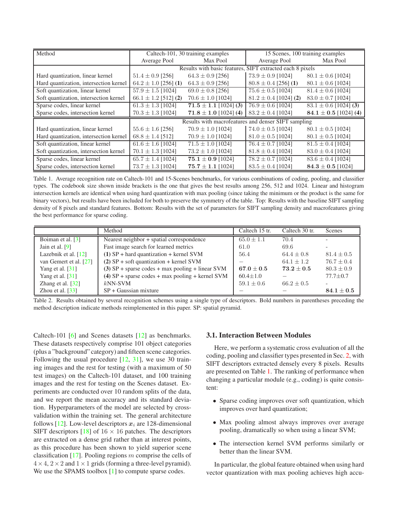<span id="page-2-2"></span>

| Method                                 | Caltech-101, 30 training examples                         |                           | 15 Scenes, 100 training examples |                           |
|----------------------------------------|-----------------------------------------------------------|---------------------------|----------------------------------|---------------------------|
|                                        | Average Pool                                              | Max Pool                  | Average Pool                     | Max Pool                  |
|                                        | Results with basic features, SIFT extracted each 8 pixels |                           |                                  |                           |
| Hard quantization, linear kernel       | $51.4 \pm 0.9$ [256]                                      | $64.3 \pm 0.9$ [256]      | $73.9 \pm 0.9$ [1024]            | $80.1 \pm 0.6$ [1024]     |
| Hard quantization, intersection kernel | $64.2 \pm 1.0$ [256] (1)                                  | $64.3 \pm 0.9$ [256]      | $80.8 \pm 0.4$ [256] (1)         | $80.1 \pm 0.6$ [1024]     |
| Soft quantization, linear kernel       | $57.9 \pm 1.5$ [1024]                                     | $69.0 \pm 0.8$ [256]      | $75.6 \pm 0.5$ [1024]            | $81.4 \pm 0.6$ [1024]     |
| Soft quantization, intersection kernel | $66.1 \pm 1.2$ [512] (2)                                  | $70.6 \pm 1.0$ [1024]     | $81.2 \pm 0.4$ [1024] (2)        | $83.0 \pm 0.7$ [1024]     |
| Sparse codes, linear kernel            | $61.3 \pm 1.3$ [1024]                                     | $71.5 \pm 1.1$ [1024] (3) | $76.9 \pm 0.6$ [1024]            | $83.1 \pm 0.6$ [1024] (3) |
| Sparse codes, intersection kernel      | $70.3 \pm 1.3$ [1024]                                     | $71.8 \pm 1.0$ [1024] (4) | $83.2 \pm 0.4$ [1024]            | $84.1 \pm 0.5$ [1024] (4) |
|                                        | Results with macrofeatures and denser SIFT sampling       |                           |                                  |                           |
| Hard quantization, linear kernel       | $55.6 \pm 1.6$ [256]                                      | $70.9 \pm 1.0$ [1024]     | $74.0 \pm 0.5$ [1024]            | $80.1 \pm 0.5$ [1024]     |
| Hard quantization, intersection kernel | $68.8 \pm 1.4$ [512]                                      | $70.9 \pm 1.0$ [1024]     | $81.0 \pm 0.5$ [1024]            | $80.1 \pm 0.5$ [1024]     |
| Soft quantization, linear kernel       | $\overline{61.6} \pm 1.6$ [1024]                          | $71.5 \pm 1.0$ [1024]     | $76.4 \pm 0.7$ [1024]            | $81.5 \pm 0.4$ [1024]     |
| Soft quantization, intersection kernel | $70.1 \pm 1.3$ [1024]                                     | $73.2 \pm 1.0$ [1024]     | $81.8 \pm 0.4$ [1024]            | $83.0 \pm 0.4$ [1024]     |
| Sparse codes, linear kernel            | $65.7 \pm 1.4$ [1024]                                     | 75.1 $\pm$ 0.9 [1024]     | $78.2 \pm 0.7$ [1024]            | $83.6 \pm 0.4$ [1024]     |
| Sparse codes, intersection kernel      | $73.7 \pm 1.3$ [1024]                                     | $75.7 \pm 1.1$ [1024]     | $83.5 \pm 0.4$ [1024]            | $84.3 \pm 0.5$ [1024]     |

<span id="page-2-0"></span>Table 1. Average recognition rate on Caltech-101 and 15-Scenes benchmarks, for various combinations of coding, pooling, and classifier types. The codebook size shown inside brackets is the one that gives the best results among 256, 512 and 1024. Linear and histogram intersection kernels are identical when using hard quantization with max pooling (since taking the minimum or the product is the same for binary vectors), but results have been included for both to preserve the symmetry of the table. Top: Results with the baseline SIFT sampling density of 8 pixels and standard features. Bottom: Results with the set of parameters for SIFT sampling density and macrofeatures giving the best performance for sparse coding.

|                        | Method                                             | Caltech 15 tr. | Caltech 30 tr. | Scenes         |
|------------------------|----------------------------------------------------|----------------|----------------|----------------|
| Boiman et al. [3]      | Nearest neighbor + spatial correspondence          | $65.0 \pm 1.1$ | 70.4           |                |
| Jain et al. $[9]$      | Fast image search for learned metrics              | 61.0           | 69.6           |                |
| Lazebnik et al. [12]   | $(1)$ SP + hard quantization + kernel SVM          | 56.4           | $64.4 + 0.8$   | $81.4 \pm 0.5$ |
| van Gemert et al. [27] | $(2)$ SP + soft quantization + kernel SVM          |                | $64.1 + 1.2$   | $76.7 \pm 0.4$ |
| Yang et al. $[31]$     | $(3)$ SP + sparse codes + max pooling + linear SVM | $67.0 \pm 0.5$ | $73.2 + 0.5$   | $80.3 \pm 0.9$ |
| Yang et al. $[31]$     | $(4)$ SP + sparse codes + max pooling + kernel SVM | $60.4 + 1.0$   |                | $77.7 + 0.7$   |
| Zhang et al. $[32]$    | $kNN-SVM$                                          | $59.1 \pm 0.6$ | $66.2 \pm 0.5$ |                |
| Zhou et al. $[33]$     | $SP + Gaussian mixture$                            |                |                | $84.1\pm0.5$   |

<span id="page-2-1"></span>Table 2. Results obtained by several recognition schemes using a single type of descriptors. Bold numbers in parentheses preceding the method description indicate methods reimplemented in this paper. SP: spatial pyramid.

Caltech-101 [\[6\]](#page-7-19) and Scenes datasets [\[12\]](#page-7-3) as benchmarks. These datasets respectively comprise 101 object categories (plus a "background" category) and fifteen scene categories. Following the usual procedure [\[12,](#page-7-3) [31\]](#page-7-10), we use 30 training images and the rest for testing (with a maximum of 50 test images) on the Caltech-101 dataset, and 100 training images and the rest for testing on the Scenes dataset. Experiments are conducted over 10 random splits of the data, and we report the mean accuracy and its standard deviation. Hyperparameters of the model are selected by crossvalidation within the training set. The general architecture follows [\[12\]](#page-7-3). Low-level descriptors  $x_i$  are 128-dimensional SIFT descriptors [\[18\]](#page-7-0) of  $16 \times 16$  patches. The descriptors are extracted on a dense grid rather than at interest points, as this procedure has been shown to yield superior scene classification  $[17]$ . Pooling regions m comprise the cells of  $4 \times 4$ ,  $2 \times 2$  and  $1 \times 1$  grids (forming a three-level pyramid). We use the SPAMS toolbox [\[1\]](#page-7-21) to compute sparse codes.

#### **3.1. Interaction Between Modules**

Here, we perform a systematic cross evaluation of all the coding, pooling and classifier types presented in Sec. [2,](#page-1-0) with SIFT descriptors extracted densely every 8 pixels. Results are presented on Table [1.](#page-2-0) The ranking of performance when changing a particular module (e.g., coding) is quite consistent:

- Sparse coding improves over soft quantization, which improves over hard quantization;
- Max pooling almost always improves over average pooling, dramatically so when using a linear SVM;
- The intersection kernel SVM performs similarly or better than the linear SVM.

In particular, the global feature obtained when using hard vector quantization with max pooling achieves high accu-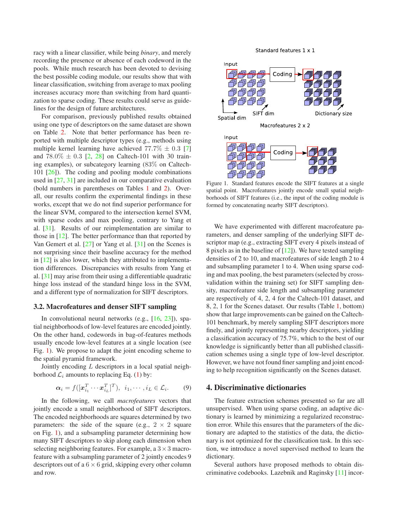<span id="page-3-1"></span>racy with a linear classifier, while being *binary*, and merely recording the presence or absence of each codeword in the pools. While much research has been devoted to devising the best possible coding module, our results show that with linear classification, switching from average to max pooling increases accuracy more than switching from hard quantization to sparse coding. These results could serve as guidelines for the design of future architectures.

For comparison, previously published results obtained using one type of descriptors on the same dataset are shown on Table [2.](#page-2-1) Note that better performance has been reported with multiple descriptor types (e.g., methods using multiple kernel learning have achieved  $77.7\% \pm 0.3$  [\[7\]](#page-7-22) and  $78.0\% \pm 0.3$  [\[2,](#page-7-23) [28\]](#page-7-24) on Caltech-101 with 30 training examples), or subcategory learning (83% on Caltech-101  $[26]$ ). The coding and pooling module combinations used in [\[27,](#page-7-11) [31\]](#page-7-10) are included in our comparative evaluation (bold numbers in parentheses on Tables [1](#page-2-0) and [2\)](#page-2-1). Overall, our results confirm the experimental findings in these works, except that we do not find superior performance for the linear SVM, compared to the intersection kernel SVM, with sparse codes and max pooling, contrary to Yang et al. [\[31\]](#page-7-10). Results of our reimplementation are similar to those in [\[12\]](#page-7-3). The better performance than that reported by Van Gemert et al. [\[27\]](#page-7-11) or Yang et al. [\[31\]](#page-7-10) on the Scenes is not surprising since their baseline accuracy for the method in [\[12\]](#page-7-3) is also lower, which they attributed to implementation differences. Discrepancies with results from Yang et al. [\[31\]](#page-7-10) may arise from their using a differentiable quadratic hinge loss instead of the standard hinge loss in the SVM, and a different type of normalization for SIFT descriptors.

#### **3.2. Macrofeatures and denser SIFT sampling**

In convolutional neural networks (e.g., [\[16,](#page-7-8) [23\]](#page-7-6)), spatial neighborhoods of low-level features are encoded jointly. On the other hand, codewords in bag-of-features methods usually encode low-level features at a single location (see Fig. [1\)](#page-3-0). We propose to adapt the joint encoding scheme to the spatial pyramid framework.

Jointly encoding  $L$  descriptors in a local spatial neighborhood  $\mathcal{L}_i$  amounts to replacing Eq. [\(1\)](#page-1-1) by:

$$
\boldsymbol{\alpha}_i = f([\boldsymbol{x}_{i_1}^T \cdots \boldsymbol{x}_{i_L}^T]^T), \ \ i_1, \cdots, i_L \in \mathcal{L}_i. \tag{9}
$$

In the following, we call *macrofeatures* vectors that jointly encode a small neighborhood of SIFT descriptors. The encoded neighborhoods are squares determined by two parameters: the side of the square (e.g.,  $2 \times 2$  square on Fig. [1\)](#page-3-0), and a subsampling parameter determining how many SIFT descriptors to skip along each dimension when selecting neighboring features. For example, a  $3 \times 3$  macrofeature with a subsampling parameter of 2 jointly encodes 9 descriptors out of a  $6 \times 6$  grid, skipping every other column and row.



<span id="page-3-0"></span>Figure 1. Standard features encode the SIFT features at a single spatial point. Macrofeatures jointly encode small spatial neighborhoods of SIFT features (i.e., the input of the coding module is formed by concatenating nearby SIFT descriptors).

We have experimented with different macrofeature parameters, and denser sampling of the underlying SIFT descriptor map (e.g., extracting SIFT every 4 pixels instead of 8 pixels as in the baseline of  $[12]$ ). We have tested sampling densities of 2 to 10, and macrofeatures of side length 2 to 4 and subsampling parameter 1 to 4. When using sparse coding and max pooling, the best parameters (selected by crossvalidation within the training set) for SIFT sampling density, macrofeature side length and subsampling parameter are respectively of 4, 2, 4 for the Caltech-101 dataset, and 8, 2, 1 for the Scenes dataset. Our results (Table [1,](#page-2-0) bottom) show that large improvements can be gained on the Caltech-101 benchmark, by merely sampling SIFT descriptors more finely, and jointly representing nearby descriptors, yielding a classification accuracy of 75.7%, which to the best of our knowledge is significantly better than all published classification schemes using a single type of low-level descriptor. However, we have not found finer sampling and joint encoding to help recognition significantly on the Scenes dataset.

### **4. Discriminative dictionaries**

The feature extraction schemes presented so far are all unsupervised. When using sparse coding, an adaptive dictionary is learned by minimizing a regularized reconstruction error. While this ensures that the parameters of the dictionary are adapted to the statistics of the data, the dictionary is not optimized for the classification task. In this section, we introduce a novel supervised method to learn the dictionary.

Several authors have proposed methods to obtain discriminative codebooks. Lazebnik and Raginsky [\[11\]](#page-7-26) incor-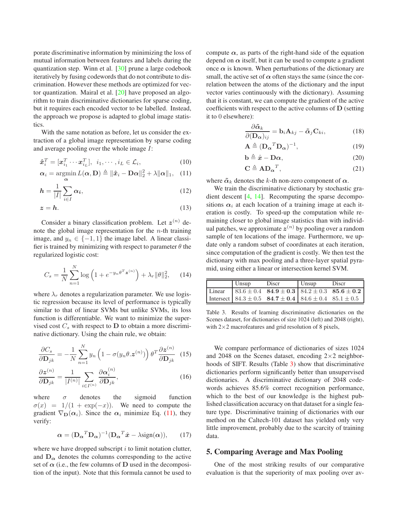<span id="page-4-2"></span>porate discriminative information by minimizing the loss of mutual information between features and labels during the quantization step. Winn et al. [\[30\]](#page-7-27) prune a large codebook iteratively by fusing codewords that do not contribute to discrimination. However these methods are optimized for vector quantization. Mairal et al. [\[20\]](#page-7-28) have proposed an algorithm to train discriminative dictionaries for sparse coding, but it requires each encoded vector to be labelled. Instead, the approach we propose is adapted to global image statistics.

With the same notation as before, let us consider the extraction of a global image representation by sparse coding and average pooling over the whole image I:

$$
\hat{\boldsymbol{x}}_i^T = [\boldsymbol{x}_{i_1}^T \cdots \boldsymbol{x}_{i_L}^T], \ \ i_1, \cdots, i_L \in \mathcal{L}_i,\tag{10}
$$

$$
\alpha_i = \operatorname*{argmin}_{\alpha} L(\alpha, \mathbf{D}) \triangleq ||\hat{\boldsymbol{x}}_i - \mathbf{D}\alpha||_2^2 + \lambda \|\alpha\|_1, \quad (11)
$$

$$
h = \frac{1}{|I|} \sum_{i \in I} \alpha_i,\tag{12}
$$

$$
z = h.\tag{13}
$$

Consider a binary classification problem. Let  $z^{(n)}$  denote the global image representation for the  $n$ -th training image, and  $y_n \in \{-1, 1\}$  the image label. A linear classifier is trained by minimizing with respect to parameter  $\theta$  the regularized logistic cost:

$$
C_s = \frac{1}{N} \sum_{n=1}^{N} \log \left( 1 + e^{-y_n \theta^T \mathbf{z}^{(n)}} \right) + \lambda_r \|\theta\|_2^2, \qquad (14)
$$

where  $\lambda_r$  denotes a regularization parameter. We use logistic regression because its level of performance is typically similar to that of linear SVMs but unlike SVMs, its loss function is differentiable. We want to minimize the supervised cost  $C_s$  with respect to  $D$  to obtain a more discriminative dictionary. Using the chain rule, we obtain:

$$
\frac{\partial C_s}{\partial \mathbf{D}_{jk}} = -\frac{1}{N} \sum_{n=1}^{N} y_n \left( 1 - \sigma(y_n \theta, \mathbf{z}^{(n)}) \right) \theta^T \frac{\partial \mathbf{z}^{(n)}}{\partial \mathbf{D}_{jk}} \tag{15}
$$

$$
\frac{\partial \mathbf{z}^{(n)}}{\partial \mathbf{D}_{jk}} = \frac{1}{|I^{(n)}|} \sum_{i \in I^{(n)}} \frac{\partial \alpha_i^{(n)}}{\partial \mathbf{D}_{jk}},\tag{16}
$$

where  $\sigma$  denotes the sigmoid function  $\sigma(x) = 1/(1 + \exp(-x))$ . We need to compute the gradient  $\nabla_{\mathbf{D}}(\alpha_i)$ . Since the  $\alpha_i$  minimize Eq. [\(11\)](#page-4-0), they verify:

$$
\alpha = (\mathbf{D}_{\alpha}{}^{T} \mathbf{D}_{\alpha})^{-1} (\mathbf{D}_{\alpha}{}^{T} \hat{\mathbf{x}} - \lambda \text{sign}(\alpha)), \qquad (17)
$$

where we have dropped subscript  $i$  to limit notation clutter, and  $D_{\alpha}$  denotes the columns corresponding to the active set of  $\alpha$  (i.e., the few columns of **D** used in the decomposition of the input). Note that this formula cannot be used to compute  $\alpha$ , as parts of the right-hand side of the equation depend on  $\alpha$  itself, but it can be used to compute a gradient once  $\alpha$  is known. When perturbations of the dictionary are small, the active set of  $\alpha$  often stays the same (since the correlation between the atoms of the dictionary and the input vector varies continuously with the dictionary). Assuming that it is constant, we can compute the gradient of the active coefficients with respect to the active columns of D (setting it to 0 elsewhere):

$$
\frac{\partial \tilde{\alpha}_k}{\partial (\mathbf{D}_{\alpha})_{ij}} = \mathbf{b}_i \mathbf{A}_{kj} - \tilde{\alpha}_j \mathbf{C}_{ki},
$$
(18)

$$
\mathbf{A} \triangleq (\mathbf{D}_{\alpha}{}^{T} \mathbf{D}_{\alpha})^{-1},\tag{19}
$$

$$
\mathbf{b} \triangleq \hat{\mathbf{x}} - \mathbf{D}\boldsymbol{\alpha},\tag{20}
$$

$$
\mathbf{C} \triangleq \mathbf{A} \mathbf{D}_{\alpha}{}^{T},\tag{21}
$$

<span id="page-4-0"></span>where  $\tilde{\alpha}_k$  denotes the k-th non-zero component of  $\alpha$ .

We train the discriminative dictionary by stochastic gradient descent [\[4,](#page-7-29) [14\]](#page-7-30). Recomputing the sparse decompositions  $\alpha_i$  at each location of a training image at each iteration is costly. To speed-up the computation while remaining closer to global image statistics than with individual patches, we approximate  $z^{(n)}$  by pooling over a random sample of ten locations of the image. Furthermore, we update only a random subset of coordinates at each iteration, since computation of the gradient is costly. We then test the dictionary with max pooling and a three-layer spatial pyramid, using either a linear or intersection kernel SVM.

| Unsup | Discr                                                                 | Unsup | Discr |
|-------|-----------------------------------------------------------------------|-------|-------|
|       | Linear $83.6 \pm 0.4$ 84.9 $\pm$ 0.3 84.2 $\pm$ 0.3 85.6 $\pm$ 0.2    |       |       |
|       | Intersect $84.3 \pm 0.5$ 84.7 $\pm$ 0.4 84.6 $\pm$ 0.4 85.1 $\pm$ 0.5 |       |       |

<span id="page-4-1"></span>Table 3. Results of learning discriminative dictionaries on the Scenes dataset, for dictionaries of size 1024 (left) and 2048 (right), with  $2\times2$  macrofeatures and grid resolution of 8 pixels,

We compare performance of dictionaries of sizes 1024 and 2048 on the Scenes dataset, encoding  $2\times 2$  neighborhoods of SIFT. Results (Table [3\)](#page-4-1) show that discriminative dictionaries perform significantly better than unsupervised dictionaries. A discriminative dictionary of 2048 codewords achieves 85.6% correct recognition performance, which to the best of our knowledge is the highest published classification accuracy on that dataset for a single feature type. Discriminative training of dictionaries with our method on the Caltech-101 dataset has yielded only very little improvement, probably due to the scarcity of training data.

### **5. Comparing Average and Max Pooling**

One of the most striking results of our comparative evaluation is that the superiority of max pooling over av-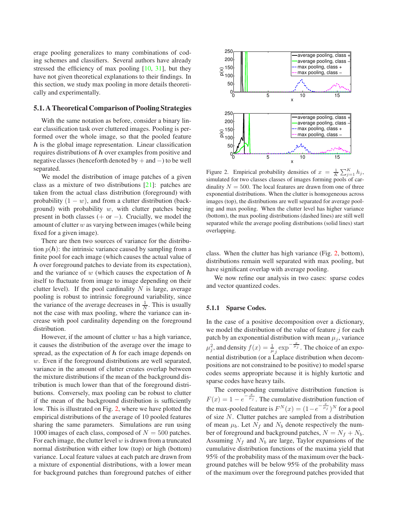<span id="page-5-1"></span>erage pooling generalizes to many combinations of coding schemes and classifiers. Several authors have already stressed the efficiency of max pooling [\[10,](#page-7-31) [31\]](#page-7-10), but they have not given theoretical explanations to their findings. In this section, we study max pooling in more details theoretically and experimentally.

### **5.1. A Theoretical Comparison of Pooling Strategies**

With the same notation as before, consider a binary linear classification task over cluttered images. Pooling is performed over the whole image, so that the pooled feature  $h$  is the global image representation. Linear classification requires distributions of h over examples from positive and negative classes (henceforth denoted by + and −) to be well separated.

We model the distribution of image patches of a given class as a mixture of two distributions [\[21\]](#page-7-32): patches are taken from the actual class distribution (foreground) with probability  $(1 - w)$ , and from a clutter distribution (background) with probability  $w$ , with clutter patches being present in both classes  $(+ or -)$ . Crucially, we model the amount of clutter  $w$  as varying between images (while being fixed for a given image).

There are then two sources of variance for the distribution  $p(h)$ : the intrinsic variance caused by sampling from a finite pool for each image (which causes the actual value of h over foreground patches to deviate from its expectation), and the variance of  $w$  (which causes the expectation of  $h$ itself to fluctuate from image to image depending on their clutter level). If the pool cardinality  $N$  is large, average pooling is robust to intrinsic foreground variability, since the variance of the average decreases in  $\frac{1}{N}$ . This is usually not the case with max pooling, where the variance can increase with pool cardinality depending on the foreground distribution.

However, if the amount of clutter  $w$  has a high variance, it causes the distribution of the average over the image to spread, as the expectation of  $h$  for each image depends on w. Even if the foreground distributions are well separated, variance in the amount of clutter creates overlap between the mixture distributions if the mean of the background distribution is much lower than that of the foreground distributions. Conversely, max pooling can be robust to clutter if the mean of the background distribution is sufficiently low. This is illustrated on Fig. [2,](#page-5-0) where we have plotted the empirical distributions of the average of 10 pooled features sharing the same parameters. Simulations are run using 1000 images of each class, composed of  $N = 500$  patches. For each image, the clutter level  $w$  is drawn from a truncated normal distribution with either low (top) or high (bottom) variance. Local feature values at each patch are drawn from a mixture of exponential distributions, with a lower mean for background patches than foreground patches of either



<span id="page-5-0"></span>Figure 2. Empirical probability densities of  $x = \frac{1}{k}$  $\frac{1}{K}\sum_{j=1}^K h_j$ simulated for two classes classes of images forming pools of cardinality  $N = 500$ . The local features are drawn from one of three exponential distributions. When the clutter is homogeneous across images (top), the distributions are well separated for average pooling and max pooling. When the clutter level has higher variance (bottom), the max pooling distributions (dashed lines) are still well separated while the average pooling distributions (solid lines) start overlapping.

class. When the clutter has high variance (Fig. [2,](#page-5-0) bottom), distributions remain well separated with max pooling, but have significant overlap with average pooling.

We now refine our analysis in two cases: sparse codes and vector quantized codes.

#### **5.1.1 Sparse Codes.**

In the case of a positive decomposition over a dictionary, we model the distribution of the value of feature  $j$  for each patch by an exponential distribution with mean  $\mu_i$ , variance  $\mu_j^2$ , and density  $f(x) = \frac{1}{\mu_j} \exp^{-\frac{x}{\mu_j}}$ . The choice of an exponential distribution (or a Laplace distribution when decompositions are not constrained to be positive) to model sparse codes seems appropriate because it is highly kurtotic and sparse codes have heavy tails.

The corresponding cumulative distribution function is  $F(x) = 1 - e^{-\frac{x}{\mu_j}}$ . The cumulative distribution function of the max-pooled feature is  $F^N(x) = (1 - e^{-\frac{x}{\mu_j}})^N$  for a pool of size N. Clutter patches are sampled from a distribution of mean  $\mu_b$ . Let  $N_f$  and  $N_b$  denote respectively the number of foreground and background patches,  $N = N_f + N_b$ . Assuming  $N_f$  and  $N_b$  are large, Taylor expansions of the cumulative distribution functions of the maxima yield that 95% of the probability mass of the maximum over the background patches will be below 95% of the probability mass of the maximum over the foreground patches provided that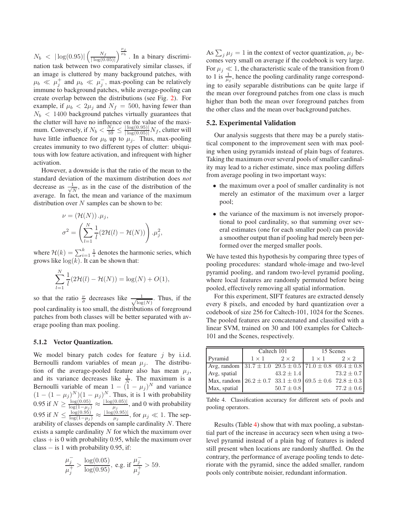$N_b \ < \ |\log(0.95)| \left( \frac{N_f}{|\log(0.95)|} \right)$  $|\log(0.05)|$  $\int_{\frac{\mu_j}{\mu_b}}^{\frac{\mu_j}{\mu_b}}$ . In a binary discrimination task between two comparatively similar classes, if an image is cluttered by many background patches, with  $\mu_b \ll \mu_j^+$  and  $\mu_b \ll \mu_j^-$ , max-pooling can be relatively immune to background patches, while average-pooling can create overlap between the distributions (see Fig. [2\)](#page-5-0). For example, if  $\mu_b < 2\mu_j$  and  $N_f = 500$ , having fewer than  $N_b < 1400$  background patches virtually guarantees that the clutter will have no influence on the value of the maximum. Conversely, if  $N_b < \frac{N_f}{59} \le \frac{|\log(0.95)|}{|\log(0.05)|} N_f$ , clutter will have little influence for  $\mu_b$  up to  $\mu_j$ . Thus, max-pooling creates immunity to two different types of clutter: ubiquitous with low feature activation, and infrequent with higher activation.

However, a downside is that the ratio of the mean to the standard deviation of the maximum distribution does *not* decrease as  $\frac{1}{\sqrt{2}}$  $\frac{1}{N}$ , as in the case of the distribution of the average. In fact, the mean and variance of the maximum distribution over  $N$  samples can be shown to be:

$$
\nu = (\mathcal{H}(N)) \cdot \mu_j,
$$
  

$$
\sigma^2 = \left(\sum_{l=1}^N \frac{1}{l} (2\mathcal{H}(l) - \mathcal{H}(N))\right) \cdot \mu_j^2,
$$

where  $\mathcal{H}(k) = \sum_{i=1}^{k} \frac{1}{i}$  denotes the harmonic series, which grows like  $log(k)$ . It can be shown that:

$$
\sum_{l=1}^{N} \frac{1}{l} (2\mathcal{H}(l) - \mathcal{H}(N)) = \log(N) + O(1),
$$

so that the ratio  $\frac{\nu}{\sigma}$  decreases like  $\frac{1}{\sqrt{\log n}}$  $\frac{1}{\log(N)}$ . Thus, if the pool cardinality is too small, the distributions of foreground patches from both classes will be better separated with average pooling than max pooling.

#### **5.1.2 Vector Quantization.**

We model binary patch codes for feature  $j$  by i.i.d. Bernoulli random variables of mean  $\mu_i$ . The distribution of the average-pooled feature also has mean  $\mu_j$ , and its variance decreases like  $\frac{1}{N}$ . The maximum is a Bernoulli variable of mean  $1 - (1 - \mu_j)^N$  and variance  $(1 - (1 - \mu_j)^N)(1 - \mu_j)^N$ . Thus, it is 1 with probability 0.95 if  $N \ge \frac{\log(0.05)}{\log(1-\mu_j)} \approx \frac{|\log(0.05)|}{\mu_j}$ , and 0 with probability 0.95 if  $N \leq \frac{\log(0.95)}{\log(1-\mu_j)} \approx \frac{|\log(0.95)|}{\mu_j}$ , for  $\mu_j \ll 1$ . The separability of classes depends on sample cardinality  $N$ . There exists a sample cardinality  $N$  for which the maximum over  $class + is 0$  with probability 0.95, while the maximum over class − is 1 with probability 0.95, if:

$$
\frac{\mu_j^-}{\mu_j^+} > \frac{\log(0.05)}{\log(0.95)}, \text{ e.g. if } \frac{\mu_j^-}{\mu_j^+} > 59.
$$

As  $\sum_j \mu_j = 1$  in the context of vector quantization,  $\mu_j$  becomes very small on average if the codebook is very large. For  $\mu_j \ll 1$ , the characteristic scale of the transition from 0 to 1 is  $\frac{1}{\mu_j}$ , hence the pooling cardinality range corresponding to easily separable distributions can be quite large if the mean over foreground patches from one class is much higher than both the mean over foreground patches from the other class and the mean over background patches.

#### **5.2. Experimental Validation**

Our analysis suggests that there may be a purely statistical component to the improvement seen with max pooling when using pyramids instead of plain bags of features. Taking the maximum over several pools of smaller cardinality may lead to a richer estimate, since max pooling differs from average pooling in two important ways:

- the maximum over a pool of smaller cardinality is not merely an estimator of the maximum over a larger pool;
- the variance of the maximum is not inversely proportional to pool cardinality, so that summing over several estimates (one for each smaller pool) can provide a smoother output than if pooling had merely been performed over the merged smaller pools.

We have tested this hypothesis by comparing three types of pooling procedures: standard whole-image and two-level pyramid pooling, and random two-level pyramid pooling, where local features are randomly permuted before being pooled, effectively removing all spatial information.

For this experiment, SIFT features are extracted densely every 8 pixels, and encoded by hard quantization over a codebook of size 256 for Caltech-101, 1024 for the Scenes. The pooled features are concatenated and classified with a linear SVM, trained on 30 and 100 examples for Caltech-101 and the Scenes, respectively.

|                                                                         | Caltech 101  |                | 15 Scenes    |              |
|-------------------------------------------------------------------------|--------------|----------------|--------------|--------------|
| Pyramid                                                                 | $1 \times 1$ | $2 \times 2$   | $1 \times 1$ | $2 \times 2$ |
| Avg, random $31.7 \pm 1.0$ $29.5 \pm 0.5$ $71.0 \pm 0.8$ $69.4 \pm 0.8$ |              |                |              |              |
| Avg, spatial                                                            |              | $43.2 \pm 1.4$ |              | $73.2 + 0.7$ |
| Max, random $26.2 \pm 0.7$ 33.1 $\pm$ 0.9 69.5 $\pm$ 0.6 72.8 $\pm$ 0.3 |              |                |              |              |
| Max, spatial                                                            |              | $50.7 \pm 0.8$ |              | $77.2 + 0.6$ |

<span id="page-6-0"></span>Table 4. Classification accuracy for different sets of pools and pooling operators.

Results (Table [4\)](#page-6-0) show that with max pooling, a substantial part of the increase in accuracy seen when using a twolevel pyramid instead of a plain bag of features is indeed still present when locations are randomly shuffled. On the contrary, the performance of average pooling tends to deteriorate with the pyramid, since the added smaller, random pools only contribute noisier, redundant information.